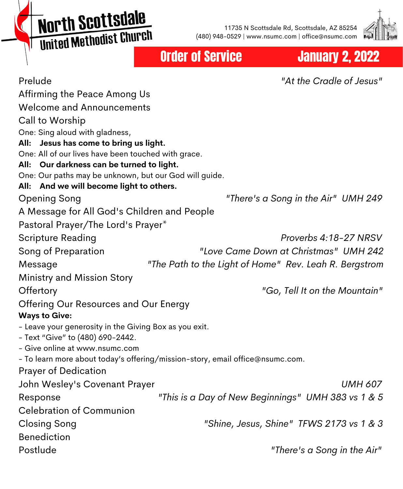**North Scottsdale MOI'LII SCO CESCRIPT** 

11735 N Scottsdale Rd, Scottsdale, AZ 85254 (480) 948-0529 | www.nsumc.com | office@nsumc.com



# Order of Service **January 2, 2022**

| Prelude                                                                       | "At the Cradle of Jesus"                               |
|-------------------------------------------------------------------------------|--------------------------------------------------------|
| Affirming the Peace Among Us                                                  |                                                        |
| <b>Welcome and Announcements</b>                                              |                                                        |
| Call to Worship                                                               |                                                        |
| One: Sing aloud with gladness,                                                |                                                        |
| Jesus has come to bring us light.<br>All:                                     |                                                        |
| One: All of our lives have been touched with grace.                           |                                                        |
| Our darkness can be turned to light.<br>All:                                  |                                                        |
| One: Our paths may be unknown, but our God will guide.                        |                                                        |
| And we will become light to others.<br>All:                                   |                                                        |
| <b>Opening Song</b>                                                           | "There's a Song in the Air" UMH 249                    |
| A Message for All God's Children and People                                   |                                                        |
| Pastoral Prayer/The Lord's Prayer*                                            |                                                        |
| Scripture Reading                                                             | Proverbs 4:18-27 NRSV                                  |
| Song of Preparation                                                           | "Love Came Down at Christmas" UMH 242                  |
| Message                                                                       | "The Path to the Light of Home" Rev. Leah R. Bergstrom |
| Ministry and Mission Story                                                    |                                                        |
| Offertory                                                                     | "Go, Tell It on the Mountain"                          |
| Offering Our Resources and Our Energy                                         |                                                        |
| <b>Ways to Give:</b>                                                          |                                                        |
| - Leave your generosity in the Giving Box as you exit.                        |                                                        |
| - Text "Give" to (480) 690-2442.                                              |                                                        |
| - Give online at www.nsumc.com                                                |                                                        |
| - To learn more about today's offering/mission-story, email office@nsumc.com. |                                                        |
| <b>Prayer of Dedication</b>                                                   |                                                        |
| John Wesley's Covenant Prayer                                                 | <b>UMH 607</b>                                         |
| Response                                                                      | "This is a Day of New Beginnings" UMH 383 vs 1 & 5     |
| <b>Celebration of Communion</b>                                               |                                                        |
| <b>Closing Song</b>                                                           | "Shine, Jesus, Shine" TFWS 2173 vs 1 & 3               |
| <b>Benediction</b>                                                            |                                                        |
| Postlude                                                                      | "There's a Song in the Air"                            |